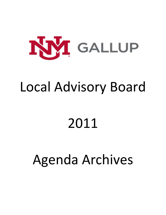

## Local Advisory Board

# 2011

## Agenda Archives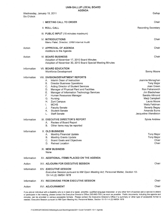|                    | <b>AGENDA</b>                                                                                                                                                                                                                                                                                                                                                                                                                                                               |                                                                                                                                                                                                                                     |
|--------------------|-----------------------------------------------------------------------------------------------------------------------------------------------------------------------------------------------------------------------------------------------------------------------------------------------------------------------------------------------------------------------------------------------------------------------------------------------------------------------------|-------------------------------------------------------------------------------------------------------------------------------------------------------------------------------------------------------------------------------------|
| <b>Six O'clock</b> | Wednesday, January 19, 2011                                                                                                                                                                                                                                                                                                                                                                                                                                                 | Gallup                                                                                                                                                                                                                              |
|                    | <b>I. MEETING CALL TO ORDER</b>                                                                                                                                                                                                                                                                                                                                                                                                                                             | Chair                                                                                                                                                                                                                               |
|                    | <b>II. ROLL CALL</b>                                                                                                                                                                                                                                                                                                                                                                                                                                                        | <b>Recording Secretary</b>                                                                                                                                                                                                          |
|                    | III. PUBLIC INPUT (15 minutes maximum)                                                                                                                                                                                                                                                                                                                                                                                                                                      |                                                                                                                                                                                                                                     |
|                    | <b>IV. INTRODUCTIONS</b><br>Manu Patel, Director, UNM Internal Audit                                                                                                                                                                                                                                                                                                                                                                                                        | Chair                                                                                                                                                                                                                               |
| Action             | <b>V. APPROVAL OF AGENDA</b><br>Additions to the Agenda                                                                                                                                                                                                                                                                                                                                                                                                                     | Chair                                                                                                                                                                                                                               |
| Action             | <b>VI. BOARD BUSINESS</b><br>Adoption of November 17, 2010 Board Minutes<br>Adoption of November 30, 2010 Board Special Meeting Minutes                                                                                                                                                                                                                                                                                                                                     | Chair                                                                                                                                                                                                                               |
| Information        | <b>VII. BOARD EDUCATION</b><br><b>Workforce Development</b>                                                                                                                                                                                                                                                                                                                                                                                                                 | Sonny Moore                                                                                                                                                                                                                         |
| Information        | <b>VIII. DIVISION/DEPARTMENT REPORTS</b><br>Interim Dean of Instruction<br>А.<br>В.<br><b>Director Business Operations</b><br>C.<br><b>Acting Director of Student Services</b><br>D.<br>Manager of Physical Plant and Facilities<br>Ε.<br>Manager of Information Technology Services<br>F.<br>Human Resources Manager<br>G.<br>Nursing<br>Zuni Campus<br>Н.<br><b>MCHS</b><br>I.<br><b>Faculty Senate</b><br>J.<br><b>Student Senate</b><br>Κ.<br><b>Staff Senate</b><br>L. | Jeannie Monaghan<br><b>Tony Major</b><br>Joan Green<br>Ron Petranovich<br>Jim Blackshear<br>Sandra Allmond<br>Marji Campbell<br>Laura Moore<br><b>Wally Feldman</b><br><b>Beverly Begay</b><br>Amanda Burns<br>Jacqueline Wendleton |
| Information        | IX. EXECUTIVE DIRECTOR'S REPORT<br>Review of Board Report<br>А.<br>В.<br>Other items may be reported                                                                                                                                                                                                                                                                                                                                                                        | Sylvia Andrew                                                                                                                                                                                                                       |
| Information        | X. OLD BUSINESS<br><b>Monthly Financial Update</b><br>А.<br><b>Monthly Grants Update</b><br>В.<br><b>Board Goals and Objectives</b><br>C.<br><b>Retreat Location</b><br>D.                                                                                                                                                                                                                                                                                                  | <b>Tony Major</b><br><b>Tony Major</b><br>Chair<br>Chair                                                                                                                                                                            |
|                    | <b>XI. NEW BUSINESS</b><br>None                                                                                                                                                                                                                                                                                                                                                                                                                                             |                                                                                                                                                                                                                                     |
| Information        | XII. ADDITIONAL ITEMS PLACED ON THE AGENDA                                                                                                                                                                                                                                                                                                                                                                                                                                  |                                                                                                                                                                                                                                     |
| Action             | <b>XIII. ADJOURN FOR EXECUTIVE SESSION</b>                                                                                                                                                                                                                                                                                                                                                                                                                                  | Chair                                                                                                                                                                                                                               |
| Information        | <b>XIV. EXECUTIVE SESSION</b><br>Executive Session pursuant to NM Open Meeting Act; Personnel Matter, Section 10-<br>15-1-H.(2) NMSA 1978                                                                                                                                                                                                                                                                                                                                   |                                                                                                                                                                                                                                     |
| Information        | XV. RECONVENE FROM EXECUTIVE SESSION                                                                                                                                                                                                                                                                                                                                                                                                                                        | Chair                                                                                                                                                                                                                               |
| Action             | <b>XVI. ADJOURNMENT</b>                                                                                                                                                                                                                                                                                                                                                                                                                                                     | Chair                                                                                                                                                                                                                               |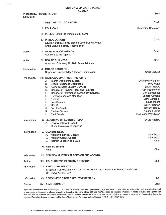Zuni Wednesday, February 16, 2011 Six O'clock **I. MEETING CALL TO ORDER** Chair **II. ROLL CALL Recording Secretary** III. PUBLIC INPUT (15 minutes maximum) Chair **IV. INTRODUCTIONS** Edwin J. Begay, Newly Elected Local Board Member Chris Chavez, Faculty Applied Tech Chair Action **V. APPROVAL OF AGENDA** Additions to the Agenda **VI. BOARD BUSINESS** Chair Action Adoption of January 19, 2011 Board Minutes Information **VII. BOARD EDUCATION Chris Chavez** Report on Sustainability & Green Construction Information VIII. DIVISION/DEPARTMENT REPORTS Jeannie Monaghan Interim Dean of Instruction A. **Director Business Operations Tony Major** В. **Sylvia Andrew Acting Director Student Services**  $C_{\cdot}$ Ron Petranovich Manager of Physical Plant and Facilities D. Jim Blackshear Manager of Information Technology Services Ε. Sandra Allmond F. Human Resources Manager Marji Campbell G. Nursing Laura Moore H. Zuni Campus **Wally Feldman MCHS**  $\mathsf{L}$ **Beverly Begay Faculty Senate** J. **Student Senate** Amanda Burns K. Jacqueline Wendleton **Staff Senate**  $\mathbf{L}$ IX. EXECUTIVE DIRECTOR'S REPORT Sylvia Andrew Information A. Review of Board Report **B.** Other items may be reported Information X. OLD BUSINESS A. Monthly Financial Update **Tony Major Tony Major Monthly Grants Update B.** Chair C. Retreat Location and Date XI. NEW BUSINESS Chair None Information XII. ADDITIONAL ITEMS PLACED ON THE AGENDA Chair Action XIII. ADJOURN FOR EXECUTIVE SESSION XIV. EXECUTIVE SESSION Information Executive Session pursuant to NM Open Meeting Act; Personnel Matter, Section 10-15-1-H.(2) NMSA 1978 Chair XV. RECONVENE FROM EXECUTIVE SESSION Information Chair Action **XVI. ADJOURNMENT**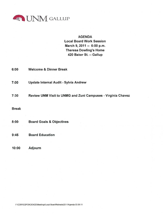

## **AGENDA**

**Local Board Work Session** March 9, 2011 -- 6:00 p.m. **Theresa Dowling's Home** 420 Baker St. -- Gallup

| 6:00 | <b>Welcome &amp; Dinner Break</b>            |
|------|----------------------------------------------|
| 7:00 | <b>Update Internal Audit - Sylvia Andrew</b> |

Review UNM Visit to UNMG and Zuni Campuses - Virginia Chavez  $7:30$ 

**Break** 

**Board Education**  $9:45$ 

#### **Adjourn**  $10:00$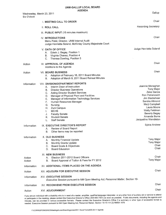| Six O'clock      | Wednesday, March 23, 2011                                                                                                                                                                                                                                                                                                                                                                                                                                                | Gallup                                                                                                                                                                                                                               |
|------------------|--------------------------------------------------------------------------------------------------------------------------------------------------------------------------------------------------------------------------------------------------------------------------------------------------------------------------------------------------------------------------------------------------------------------------------------------------------------------------|--------------------------------------------------------------------------------------------------------------------------------------------------------------------------------------------------------------------------------------|
|                  | I. MEETING CALL TO ORDER                                                                                                                                                                                                                                                                                                                                                                                                                                                 | Chair                                                                                                                                                                                                                                |
|                  | <b>II. ROLL CALL</b>                                                                                                                                                                                                                                                                                                                                                                                                                                                     | <b>Recording Secretary</b>                                                                                                                                                                                                           |
|                  | III. PUBLIC INPUT (15 minutes maximum)                                                                                                                                                                                                                                                                                                                                                                                                                                   |                                                                                                                                                                                                                                      |
|                  | <b>IV. INTRODUCTIONS</b><br>Manu Patel, Director, UNM Internal Audit<br>Judge Henrietta Soland, McKinley County Majestrate Court                                                                                                                                                                                                                                                                                                                                         | Chair                                                                                                                                                                                                                                |
|                  | <b>V. OATH OF OFFICE</b><br>Edwin J. Begay, Position 1<br>А.<br>Virginia Chavez, Position 4<br>В.<br>Theresa Dowling, Position 5<br>$C_{\cdot}$                                                                                                                                                                                                                                                                                                                          | Judge Henrietta Soland                                                                                                                                                                                                               |
| Action           | <b>VI. APPROVAL OF AGENDA</b><br>Additions to the Agenda                                                                                                                                                                                                                                                                                                                                                                                                                 | Chair                                                                                                                                                                                                                                |
| Action           | <b>VII. BOARD BUSINESS</b><br>Adoption of February 16, 2011 Board Minutes<br>А.<br>Adoption of March 9, 2011 Board Retreat Minutes<br>В.                                                                                                                                                                                                                                                                                                                                 | Chair                                                                                                                                                                                                                                |
| Information      | VIII. DIVISION/DEPARTMENT REPORTS<br>Interim Dean of Instruction<br>А.<br><b>Director Business Operations</b><br>В.<br><b>Acting Director Student Services</b><br>C.<br>Manager of Physical Plant and Facilities<br>D.<br>Manager of Information Technology Services<br>Е.<br>F.<br>Human Resources Manager<br>G.<br><b>Nursing</b><br>Zuni Campus<br>Н.<br><b>MCHS</b><br>I.<br>J.<br><b>Faculty Senate</b><br><b>Student Senate</b><br>Κ.<br><b>Staff Senate</b><br>L. | Jeannie Monaghan<br><b>Tony Major</b><br>Zeke Garcia<br>Ron Petranovich<br>Jim Blackshear<br>Sandra Allmond<br>Marji Campbell<br>Laura Moore<br><b>Wally Feldman</b><br><b>Beverly Begay</b><br>Amanda Burns<br>Jacqueline Wendleton |
| Information      | IX. EXECUTIVE DIRECTOR'S REPORT<br>Review of Board Report<br>А.<br>Other items may be reported<br>В.                                                                                                                                                                                                                                                                                                                                                                     | Sylvia Andrew                                                                                                                                                                                                                        |
| Information      | <b>X. OLD BUSINESS</b><br><b>Monthly Financial Update</b><br>А.<br><b>Monthly Grants Update</b><br>B.<br><b>Board Goals &amp; Objectives</b><br>$C_{1}$<br><b>Board Education</b><br>D.                                                                                                                                                                                                                                                                                  | <b>Tony Major</b><br><b>Tony Major</b><br>Chair<br>Chair                                                                                                                                                                             |
| Action<br>Action | <b>XI. NEW BUSINESS</b><br>Election 2011-2012 Board Officers<br>А.<br>Board Approval of Tuition & Fees for FY 2012<br>В.                                                                                                                                                                                                                                                                                                                                                 | Chair<br><b>Tony Major</b>                                                                                                                                                                                                           |
| Information      | XII. ADDITIONAL ITEMS PLACED ON THE AGENDA                                                                                                                                                                                                                                                                                                                                                                                                                               |                                                                                                                                                                                                                                      |
| Action           | XIII. ADJOURN FOR EXECUTIVE SESSION                                                                                                                                                                                                                                                                                                                                                                                                                                      | Chair                                                                                                                                                                                                                                |
| Information      | <b>XIV. EXECUTIVE SESSION</b><br>Executive Session pursuant to NM Open Meeting Act; Personnel Matter, Section 10-                                                                                                                                                                                                                                                                                                                                                        |                                                                                                                                                                                                                                      |
| Information      | XV. RECONVENE FROM EXECUTIVE SESSION                                                                                                                                                                                                                                                                                                                                                                                                                                     | Chair                                                                                                                                                                                                                                |
| Action           | <b>XVI. ADJOURNMENT</b>                                                                                                                                                                                                                                                                                                                                                                                                                                                  | Chair                                                                                                                                                                                                                                |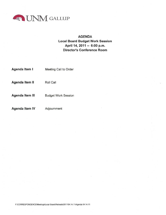

## **AGENDA Local Board Budget Work Session** April 14, 2011 -- 6:00 p.m. **Director's Conference Room**

| Agenda Item I          | <b>Meeting Call to Order</b> |
|------------------------|------------------------------|
| Agenda Item II         | Roll Call                    |
| <b>Agenda Item III</b> | <b>Budget Work Session</b>   |
| <b>Agenda Item IV</b>  | Adjournment                  |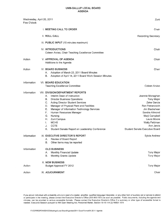| Wednesday, April 20, 2011<br>Five O'clock |                                                                                                                                                                                                                                                                                                                                                                                                                                                            | Zuni                                                                                                                                                                                                                        |
|-------------------------------------------|------------------------------------------------------------------------------------------------------------------------------------------------------------------------------------------------------------------------------------------------------------------------------------------------------------------------------------------------------------------------------------------------------------------------------------------------------------|-----------------------------------------------------------------------------------------------------------------------------------------------------------------------------------------------------------------------------|
|                                           | <b>I. MEETING CALL TO ORDER</b>                                                                                                                                                                                                                                                                                                                                                                                                                            | Chair                                                                                                                                                                                                                       |
|                                           | <b>II. ROLL CALL</b>                                                                                                                                                                                                                                                                                                                                                                                                                                       | <b>Recording Secretary</b>                                                                                                                                                                                                  |
|                                           | III. PUBLIC INPUT (15 minutes maximum)                                                                                                                                                                                                                                                                                                                                                                                                                     |                                                                                                                                                                                                                             |
|                                           | <b>IV. INTRODUCTIONS</b><br>Coleen Arviso, Chair Teaching Excellence Committee                                                                                                                                                                                                                                                                                                                                                                             | Chair                                                                                                                                                                                                                       |
| Action                                    | <b>V. APPROVAL OF AGENDA</b><br>Additions to the Agenda                                                                                                                                                                                                                                                                                                                                                                                                    | Chair                                                                                                                                                                                                                       |
| Action                                    | <b>VI. BOARD BUSINESS</b><br>Adoption of March 23, 2011 Board Minutes<br>Α.<br>Adoption of April 14, 2011 Board Work Session Minutes<br>В.                                                                                                                                                                                                                                                                                                                 | Chair                                                                                                                                                                                                                       |
| Information                               | <b>VII. BOARD EDUCATION</b><br><b>Teaching Excellence Committee</b>                                                                                                                                                                                                                                                                                                                                                                                        | Coleen Arviso                                                                                                                                                                                                               |
| Information                               | <b>VIII. DIVISION/DEPARTMENT REPORTS</b><br>Interim Dean of Instruction<br>Α.<br>В.<br><b>Director Business Operations</b><br>C.<br><b>Acting Director Student Services</b><br>Manager of Physical Plant and Facilities<br>D.<br>Manager of Information Technology Services<br>Е.<br>F.<br>Human Resources Manager<br>G.<br>Nursing<br>Zuni Campus<br>Η.<br><b>MCHS</b><br>I.<br><b>CCTE</b><br>J.<br>K.<br>Student Senate Report on Leadership Conference | Jeannie Monaghan<br><b>Tony Major</b><br>Zeke Garcia<br>Ron Petranovich<br>Jim Blackshear<br>Sandra Allmond<br>Marji Campbell<br>Laura Moore<br><b>Wally Feldman</b><br>Ann Jarvis<br><b>Student Senate Executive Board</b> |
| Information                               | IX. EXECUTIVE DIRECTOR'S REPORT<br>Review of Board Report<br>Α.<br>Other items may be reported<br>В.                                                                                                                                                                                                                                                                                                                                                       | Sylvia Andrew                                                                                                                                                                                                               |
| Information                               | <b>OLD BUSINESS</b><br>Monthly Financial Update<br>Α.<br>Monthly Grants Update<br>В.                                                                                                                                                                                                                                                                                                                                                                       | <b>Tony Major</b><br><b>Tony Major</b>                                                                                                                                                                                      |
| Action                                    | <b>X. NEW BUSINESS</b><br><b>Budget Approval FY 2012</b>                                                                                                                                                                                                                                                                                                                                                                                                   | <b>Tony Major</b>                                                                                                                                                                                                           |
| Action                                    | XI. ADJOURNMENT                                                                                                                                                                                                                                                                                                                                                                                                                                            | Chair                                                                                                                                                                                                                       |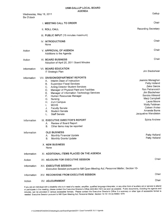| Wednesday, May 18, 2011<br>Six O'clock    |                                                                                                                                                                                                                                                                                                                                                                                                                                                                                                                                                                                                                                                                               | Gallup                                                                                                                                                                                                                                                                       |
|-------------------------------------------|-------------------------------------------------------------------------------------------------------------------------------------------------------------------------------------------------------------------------------------------------------------------------------------------------------------------------------------------------------------------------------------------------------------------------------------------------------------------------------------------------------------------------------------------------------------------------------------------------------------------------------------------------------------------------------|------------------------------------------------------------------------------------------------------------------------------------------------------------------------------------------------------------------------------------------------------------------------------|
|                                           | <b>I. MEETING CALL TO ORDER</b>                                                                                                                                                                                                                                                                                                                                                                                                                                                                                                                                                                                                                                               | Chair                                                                                                                                                                                                                                                                        |
|                                           | <b>II. ROLL CALL</b>                                                                                                                                                                                                                                                                                                                                                                                                                                                                                                                                                                                                                                                          | <b>Recording Secretary</b>                                                                                                                                                                                                                                                   |
|                                           | III. PUBLIC INPUT (15 minutes maximum)                                                                                                                                                                                                                                                                                                                                                                                                                                                                                                                                                                                                                                        |                                                                                                                                                                                                                                                                              |
|                                           | <b>IV. INTRODUCTIONS</b><br>None                                                                                                                                                                                                                                                                                                                                                                                                                                                                                                                                                                                                                                              | Chair                                                                                                                                                                                                                                                                        |
| Action                                    | V. APPROVAL OF AGENDA<br>Additions to the Agenda                                                                                                                                                                                                                                                                                                                                                                                                                                                                                                                                                                                                                              | Chair                                                                                                                                                                                                                                                                        |
| Action                                    | <b>VI. BOARD BUSINESS</b><br>Adoption of April 20, 2011 Board Minutes                                                                                                                                                                                                                                                                                                                                                                                                                                                                                                                                                                                                         | Chair                                                                                                                                                                                                                                                                        |
| Information                               | <b>VII. BOARD EDUCATION</b><br>IT Strategic Plan                                                                                                                                                                                                                                                                                                                                                                                                                                                                                                                                                                                                                              | Jim Blackshear                                                                                                                                                                                                                                                               |
| Information<br>Information<br>Information | VIII. DIVISION/DEPARTMENT REPORTS<br>Interim Dean of Instruction<br>А.<br><b>Supervisor Fiscal Services</b><br>В.<br><b>Acting Director Student Services</b><br>C.<br>Manager of Physical Plant and Facilities<br>D.<br>Manager of Information Technology Services<br>Ε.<br>F.<br>Human Resources Manager<br>G.<br>Nursing<br>Η.<br>Zuni Campus<br><b>MCHS</b><br>I.<br><b>Faculty Senate</b><br>J.<br><b>Student Senate</b><br>Κ.<br><b>Staff Senate</b><br>L.<br>IX. EXECUTIVE DIRECTOR'S REPORT<br>Review of Board Report<br>А.<br>Other items may be reported<br>В.<br><b>OLD BUSINESS</b><br><b>Monthly Financial Update</b><br>Α.<br><b>Monthly Grants Update</b><br>В. | Jeannie Monaghan<br>Patty Holland<br>Zeke Garcia<br>Ron Petranovich<br>Jim Blackshear<br>Sandra Allmond<br>Marji Campbell<br>Laura Moore<br><b>Wally Feldman</b><br>Coleen Arviso<br>Amanda Burns<br>Jacqueline Wendleton<br>Sylvia Andrew<br>Patty Holland<br>Patty Holland |
|                                           | <b>X. NEW BUSINESS</b><br>None                                                                                                                                                                                                                                                                                                                                                                                                                                                                                                                                                                                                                                                |                                                                                                                                                                                                                                                                              |
| Information                               | XI. ADDITIONAL ITEMS PLACED ON THE AGENDA                                                                                                                                                                                                                                                                                                                                                                                                                                                                                                                                                                                                                                     |                                                                                                                                                                                                                                                                              |
| Action                                    | XII. ADJOURN FOR EXECUTIVE SESSION                                                                                                                                                                                                                                                                                                                                                                                                                                                                                                                                                                                                                                            | Chair                                                                                                                                                                                                                                                                        |
| Information                               | XIII. EXECUTIVE SESSION<br>Executive Session pursuant to NM Open Meeting Act; Personnel Matter, Section 10-                                                                                                                                                                                                                                                                                                                                                                                                                                                                                                                                                                   |                                                                                                                                                                                                                                                                              |
| <b>Information</b>                        | XIV. RECONVENE FROM EXECUTIVE SESSION                                                                                                                                                                                                                                                                                                                                                                                                                                                                                                                                                                                                                                         | Chair                                                                                                                                                                                                                                                                        |
| Action                                    | <b>XV. ADJOURNMENT</b>                                                                                                                                                                                                                                                                                                                                                                                                                                                                                                                                                                                                                                                        | Chair                                                                                                                                                                                                                                                                        |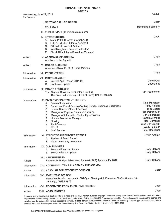| Six O'clock        | Wednesday, June 29, 2011                                                                                                                                                                                                                                                                                                                                                                                                   | Gallup                                                                                                                                                                                       |
|--------------------|----------------------------------------------------------------------------------------------------------------------------------------------------------------------------------------------------------------------------------------------------------------------------------------------------------------------------------------------------------------------------------------------------------------------------|----------------------------------------------------------------------------------------------------------------------------------------------------------------------------------------------|
|                    | I. MEETING CALL TO ORDER                                                                                                                                                                                                                                                                                                                                                                                                   | Chair                                                                                                                                                                                        |
|                    | <b>II. ROLL CALL</b>                                                                                                                                                                                                                                                                                                                                                                                                       | <b>Recording Secretary</b>                                                                                                                                                                   |
|                    | III. PUBLIC INPUT (15 minutes maximum)                                                                                                                                                                                                                                                                                                                                                                                     |                                                                                                                                                                                              |
|                    | <b>IV. INTRODUCTIONS</b><br>Manu Patel, Director Internal Audit<br>А.<br>Lola Neudecker, Internal Auditor 3<br>В.<br><b>Bill Cottrell, Internal Auditor 3</b><br>C.<br>Neal Mangham, Dean of Instruction<br>D.<br>Е.<br>Chuck Bills, Interim Bookstore Manager                                                                                                                                                             | Chair                                                                                                                                                                                        |
| Action             | V. APPROVAL OF AGENDA<br>Additions to the Agenda                                                                                                                                                                                                                                                                                                                                                                           | Chair                                                                                                                                                                                        |
| Action             | <b>VI. BOARD BUSINESS</b><br>Adoption of May 18, 2011 Board Minutes                                                                                                                                                                                                                                                                                                                                                        | Chair                                                                                                                                                                                        |
| Information        | <b>VII. PRESENTATION</b>                                                                                                                                                                                                                                                                                                                                                                                                   | Chair                                                                                                                                                                                        |
| Information        | <b>VIII. INTERNAL AUDIT</b><br>Internal Audit Report 2011-06<br>А.<br>В.<br><b>Bookstore Update</b>                                                                                                                                                                                                                                                                                                                        | Manu Patel<br><b>Chuck Bills</b>                                                                                                                                                             |
| Information        | IX. BOARD EDUCATION<br>Tour Student Services/ Technology Building<br>The Board will meeting in front of Gurley Hall at 5:15 pm                                                                                                                                                                                                                                                                                             | Ron Petranovich                                                                                                                                                                              |
| Information        | <b>X. DIVISION/DEPARTMENT REPORTS</b><br>Dean of Instruction<br>А.<br>Supervisor Fiscal Services/ Acting Director Business Operations<br>В.<br>$C_{1}$<br>Interim Director Student Services<br>Manager of Physical Plant and Facilities<br>D.<br>Manager of Information Technology Services<br>Е.<br>F.<br>Human Resources Manager<br>G.<br>Nursing<br>Η.<br>Zuni Campus<br><b>MCHS</b><br>I.<br><b>Staff Senate</b><br>J. | Neal Mangham<br>Patty Holland<br>Zeke Garcia<br>Ron Petranovich<br>Jim Blackshear<br>Sandra Allmond<br>Marji Campbell<br>Irene Den Bleyker<br><b>Wally Feldman</b><br><b>Ester Rodriguez</b> |
| <b>Information</b> | XI. EXECUTIVE DIRECTOR'S REPORT<br>Review of Board Report<br>А.<br>Other items may be reported<br>В.                                                                                                                                                                                                                                                                                                                       | Sylvia Andrew                                                                                                                                                                                |
| Information        | XII. OLD BUSINESS<br><b>Monthly Financial Update</b><br>А.<br><b>Monthly Grants Update</b><br>В.                                                                                                                                                                                                                                                                                                                           | Patty Holland<br>Patty Holland                                                                                                                                                               |
| Action             | <b>XIII. NEW BUSINESS</b><br>Request for Budget Adjustment Request (BAR) Approval FY 2012                                                                                                                                                                                                                                                                                                                                  | Patty Holland                                                                                                                                                                                |
| Information        | XIV. ADDITIONAL ITEMS PLACED ON THE AGENDA                                                                                                                                                                                                                                                                                                                                                                                 |                                                                                                                                                                                              |
| Action             | XV. ADJOURN FOR EXECUTIVE SESSION                                                                                                                                                                                                                                                                                                                                                                                          | Chair                                                                                                                                                                                        |
| Information        | <b>XVI. EXECUTIVE SESSION</b><br>Executive Session pursuant to NM Open Meeting Act; Personnel Matter, Section 10-<br>15-1-H.(2) NMSA 1978                                                                                                                                                                                                                                                                                  |                                                                                                                                                                                              |
| Information        | XVII. RECONVENE FROM EXECUTIVE SESSION                                                                                                                                                                                                                                                                                                                                                                                     | Chair                                                                                                                                                                                        |

Action XVIII. ADJOURNMENT

If you are an individual with a disability who is in need of a reader, amplifier, qualified language interpreter, or any other form of auxiliary aid or service to attend or participate in the meeting, please contact the Executive Director's Office (505-863-7501) as soon as possible. Public documents, including the agenda and minutes, can be provided in various accessible formats. Please contact the Executive Director's Office if a summary or other type of accessible format is needed. Executive Session pursuant to NM Open Meeting Act; Personnel Matter, Section 10-15-1-H (2) NMSA 1978

Chair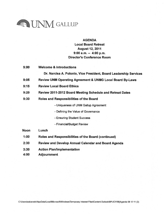

### **AGENDA**

**Local Board Retreat August 12, 2011**  $9:00$  a.m.  $-4:00$  p.m. **Director's Conference Room** 

 $9:00$ **Welcome & Introductions** 

Dr. Narcisa A. Polonio, Vice President, Board Leadership Services

- $9:05$ Review UNM Operating Agreement & UNMG Local Board By-Laws
- $9:15$ **Review Local Board Ethics**
- Review 2011-2012 Board Meeting Schedule and Retreat Dates  $9:20$
- $9:30$ Roles and Responsibilities of the Board

- Uniqueness of UNM Gallup Agreement

- Defining the Value of Governance
- Ensuring Student Success
- Financial/Budget Review
- **Noon** Lunch
- $1:00$ Roles and Responsibilities of the Board (continued)
- Review and Develop Annual Calendar and Board Agenda  $2:30$
- $3:30$ **Action Plan/Implementation**
- 4:00 **Adjournment**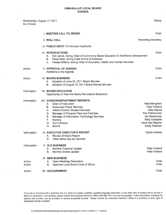| Wednesday, August 17, 2011<br><b>Six O'clock</b> |                                                                                                                                                                                                                                                                                                                                       | Gallup                                                                                                                                           |
|--------------------------------------------------|---------------------------------------------------------------------------------------------------------------------------------------------------------------------------------------------------------------------------------------------------------------------------------------------------------------------------------------|--------------------------------------------------------------------------------------------------------------------------------------------------|
|                                                  | <b>I. MEETING CALL TO ORDER</b>                                                                                                                                                                                                                                                                                                       | Chair                                                                                                                                            |
|                                                  | <b>II. ROLL CALL</b>                                                                                                                                                                                                                                                                                                                  | <b>Recording Secretary</b>                                                                                                                       |
|                                                  | III. PUBLIC INPUT (15 minutes maximum)                                                                                                                                                                                                                                                                                                |                                                                                                                                                  |
|                                                  | <b>IV. INTRODUCTIONS</b><br>Ann Jarvis, Acting Chair of Community Based Education & Workforce Development<br>А. .<br>Paula Watt, Acting Chair of Arts & Sciences<br>В.<br>Teresa Wilkins, Acting Chair of Education, Health and Human Services<br>C.                                                                                  | Chair                                                                                                                                            |
| Action                                           | V. APPROVAL OF AGENDA<br>Additions to the Agenda                                                                                                                                                                                                                                                                                      | Chair                                                                                                                                            |
| Action                                           | <b>VI. BOARD BUSINESS</b><br>Adoption of June 29, 2011 Board Minutes<br>А.<br>Adoption of August 12, 2011 Board Retreat Minutes<br>В.                                                                                                                                                                                                 | Chair                                                                                                                                            |
| Information                                      | <b>VII. BOARD EDUCATION</b><br>Opportunity to View the Newly Remodeled Bookstore                                                                                                                                                                                                                                                      |                                                                                                                                                  |
| Information                                      | <b>VIII. DIVISION/DEPARTMENT REPORTS</b><br>Dean of Instruction<br>А. –<br><b>Supervisor Fiscal Services</b><br>В.<br><b>Interim Director Student Services</b><br>C.<br>Manager of Physical Plant and Facilities<br>D.<br>Manager of Information Technology Services<br>Е.<br>Nursing<br>F.<br>Zuni Campus<br>G.<br>Η.<br><b>MCHS</b> | Neal Mangham<br>Patty Holland<br>Zeke Garcia<br>Ron Petranovich<br>Jim Blackshear<br>Marji Campbell<br>Irene Den Bleyker<br><b>Wally Feldman</b> |
| Information                                      | IX. EXECUTIVE DIRECTOR'S REPORT<br>Review of Board Report<br>А.<br>Other items may be reported<br>В.                                                                                                                                                                                                                                  | Sylvia Andrew                                                                                                                                    |
| Information                                      | X. OLD BUSINESS<br><b>Monthly Financial Update</b><br>А.<br><b>B.</b><br><b>Monthly Grants Update</b>                                                                                                                                                                                                                                 | Patty Holland<br>Patty Holland                                                                                                                   |
| Action<br>Action                                 | <b>XI. NEW BUSINESS</b><br><b>Open Meetings Resolution</b><br>A.<br>Approval Local Board Code of Ethics<br>В.                                                                                                                                                                                                                         | Chair<br>Chair                                                                                                                                   |
| Action                                           | XII. ADJOURNMENT                                                                                                                                                                                                                                                                                                                      | Chair                                                                                                                                            |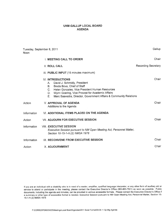| Tuesday, September 8, 2011<br><b>Noon</b> |                                                                                                                                                                                                                                                                                                      | Gallup                     |
|-------------------------------------------|------------------------------------------------------------------------------------------------------------------------------------------------------------------------------------------------------------------------------------------------------------------------------------------------------|----------------------------|
|                                           | <b>I. MEETING CALL TO ORDER</b>                                                                                                                                                                                                                                                                      | Chair                      |
|                                           | <b>II. ROLL CALL</b>                                                                                                                                                                                                                                                                                 | <b>Recording Secretary</b> |
|                                           | III. PUBLIC INPUT (15 minutes maximum)                                                                                                                                                                                                                                                               |                            |
|                                           | IV. INTRODUCTIONS<br>David J. Schmidly, President<br>Α.<br>Breda Bova, Chief of Staff<br><b>B.</b><br>Helen Gonzales, Vice President Human Resources<br>$C_{1}$<br>Wynn Goering, Vice Provost for Academic Affairs<br>D.<br>Marc Saavedra, Director, Government Affairs & Community Relations<br>E., | Chair                      |
| Action                                    | <b>V. APPROVAL OF AGENDA</b><br>Additions to the Agenda                                                                                                                                                                                                                                              | Chair                      |
| Information                               | <b>VI. ADDITIONAL ITEMS PLACED ON THE AGENDA</b>                                                                                                                                                                                                                                                     |                            |
| Action                                    | <b>VII. ADJOURN FOR EXECUTIVE SESSION</b>                                                                                                                                                                                                                                                            | Chair                      |
| Information                               | <b>VIII. EXECUTIVE SESSION</b><br>Executive Session pursuant to NM Open Meeting Act; Personnel Matter,<br>Section 10-15-1-H.(2) NMSA 1978                                                                                                                                                            |                            |
| Information                               | IX. RECONVENE FROM EXECUTIVE SESSION                                                                                                                                                                                                                                                                 | Chair                      |
| Action                                    | X. ADJOURNMENT                                                                                                                                                                                                                                                                                       | Chair                      |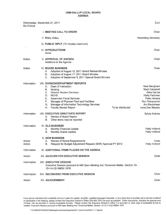| Six O'clock      | Wednesday, September 21, 2011                                                                                                                                                                                                                                                                                                                                     | Zuni                                                                                                                                             |
|------------------|-------------------------------------------------------------------------------------------------------------------------------------------------------------------------------------------------------------------------------------------------------------------------------------------------------------------------------------------------------------------|--------------------------------------------------------------------------------------------------------------------------------------------------|
|                  | I. MEETING CALL TO ORDER                                                                                                                                                                                                                                                                                                                                          | Chair                                                                                                                                            |
|                  | <b>II. ROLL CALL</b>                                                                                                                                                                                                                                                                                                                                              | <b>Recording Secretary</b>                                                                                                                       |
| ٠                | III. PUBLIC INPUT (15 minutes maximum)                                                                                                                                                                                                                                                                                                                            |                                                                                                                                                  |
|                  | <b>IV. INTRODUCTIONS</b><br>None                                                                                                                                                                                                                                                                                                                                  | Chair                                                                                                                                            |
| Action           | V. APPROVAL OF AGENDA<br>Additions to the Agenda                                                                                                                                                                                                                                                                                                                  | Chair                                                                                                                                            |
| Action           | <b>VI. BOARD BUSINESS</b><br>Adoption of August 12, 2011 Board Retreat Minutes<br>Α.<br>Adoption of August 17, 2011 Board Minutes<br>В.<br>Adoption of September 8, 2011 Special Board Minutes<br>С.                                                                                                                                                              | Chair                                                                                                                                            |
| Information      | <b>VIII. DIVISION/DEPARTMENT REPORTS</b><br>Dean of Instruction<br>А.<br>В.<br>Nursing<br>C.<br><b>Director Student Services</b><br><b>MCHS</b><br>D.<br>Е.<br><b>Supervisor Fiscal Services</b><br>F.<br>Manager of Physical Plant and Facilities<br>G.<br>Manager of Information Technology Services<br>To be distributed<br>Η.<br><b>Faculty Senate Report</b> | Neal Mangham<br>Marji Campbell<br>Zeke Garcia<br><b>Wally Feldman</b><br>Patty Holland<br>Ron Petranovich<br>Jim Blackshear<br>Irene Den Bleyker |
| Information      | <b>VIII. EXECUTIVE DIRECTOR'S REPORT</b><br>Review of Board Report<br>Α.<br>В.<br>Other items may be reported                                                                                                                                                                                                                                                     | Sylvia Andrew                                                                                                                                    |
| Information      | <b>IX. OLD BUSINESS</b><br>Monthly Financial Update<br>Α.<br><b>Monthly Grants Update</b><br>В.                                                                                                                                                                                                                                                                   | Patty Holland<br>Patty Holland                                                                                                                   |
| Action<br>Action | <b>X. NEW BUSINESS</b><br>A. Review of Notice Requirements<br>Request for Budget Adjustment Request (BAR) Approval FY 2012<br>В.                                                                                                                                                                                                                                  | Chair<br>Patty Holland                                                                                                                           |
| Information      | XI. ADDITIONAL ITEMS PLACED ON THE AGENDA                                                                                                                                                                                                                                                                                                                         |                                                                                                                                                  |
| Action           | XII. ADJOURN FOR EXECUTIVE SESSION                                                                                                                                                                                                                                                                                                                                | Chair                                                                                                                                            |
| Information      | <b>XIII. EXECUTIVE SESSION</b><br>Executive Session pursuant to NM Open Meeting Act; Personnel Matter, Section 10-<br>15-1-H.(2) NMSA 1978                                                                                                                                                                                                                        |                                                                                                                                                  |
| Information      | XIV. RECONVENE FROM EXECUTIVE SESSION                                                                                                                                                                                                                                                                                                                             | Chair                                                                                                                                            |
| Action           | <b>XV. ADJOURNMENT</b>                                                                                                                                                                                                                                                                                                                                            | Chair                                                                                                                                            |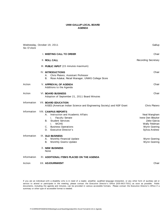| Wednesday, October 19, 2011<br>Six O'clock |                                                                                                                                                                                                                              | Gallup                                                                                             |
|--------------------------------------------|------------------------------------------------------------------------------------------------------------------------------------------------------------------------------------------------------------------------------|----------------------------------------------------------------------------------------------------|
|                                            | I. MEETING CALL TO ORDER                                                                                                                                                                                                     | Chair                                                                                              |
|                                            | II. ROLL CALL                                                                                                                                                                                                                | <b>Recording Secretary</b>                                                                         |
|                                            | III. PUBLIC INPUT (15 minutes maximum)                                                                                                                                                                                       |                                                                                                    |
|                                            | <b>IV. INTRODUCTIONS</b><br>Chris Platero, Assistant Professor<br>Α.<br>Rose Adakai, Retail Manager, UNMG College Store<br>В.                                                                                                | Chair                                                                                              |
| Action                                     | V. APPROVAL OF AGENDA<br>Additions to the Agenda                                                                                                                                                                             | Chair                                                                                              |
| Action                                     | VI. BOARD BUSINESS<br>Adoption of September 21, 2011 Board Minutes                                                                                                                                                           | Chair                                                                                              |
| Information                                | <b>VII. BOARD EDUCATION</b><br>AISES (American Indian Science and Engineering Society) and NSF Grant                                                                                                                         | Chris Platero                                                                                      |
| Information                                | <b>VIII. CAMPUS REPORTS</b><br>Instruction and Academic Affairs<br>А.<br><b>Faculty Senate</b><br>i.<br><b>Student Services</b><br>В.<br><b>MCHS</b><br>i.<br><b>Business Operations</b><br>C.<br>Executive Director's<br>D. | Neal Mangham<br>Irene Den Bleyker<br>Zeke Garcia<br>Wally Feldman<br>Wynn Goering<br>Sylvia Andrew |
| Information                                | IX. OLD BUSINESS<br>Monthly Financial Update<br>Α.<br>В.<br>Monthly Grants Update<br>X. NEW BUSINESS<br>None                                                                                                                 | Wynn Goering<br>Wynn Goering                                                                       |
| Information                                | XI. ADDITIONAL ITEMS PLACED ON THE AGENDA                                                                                                                                                                                    |                                                                                                    |
| Action                                     | XII. ADJOURNMENT                                                                                                                                                                                                             | Chair                                                                                              |